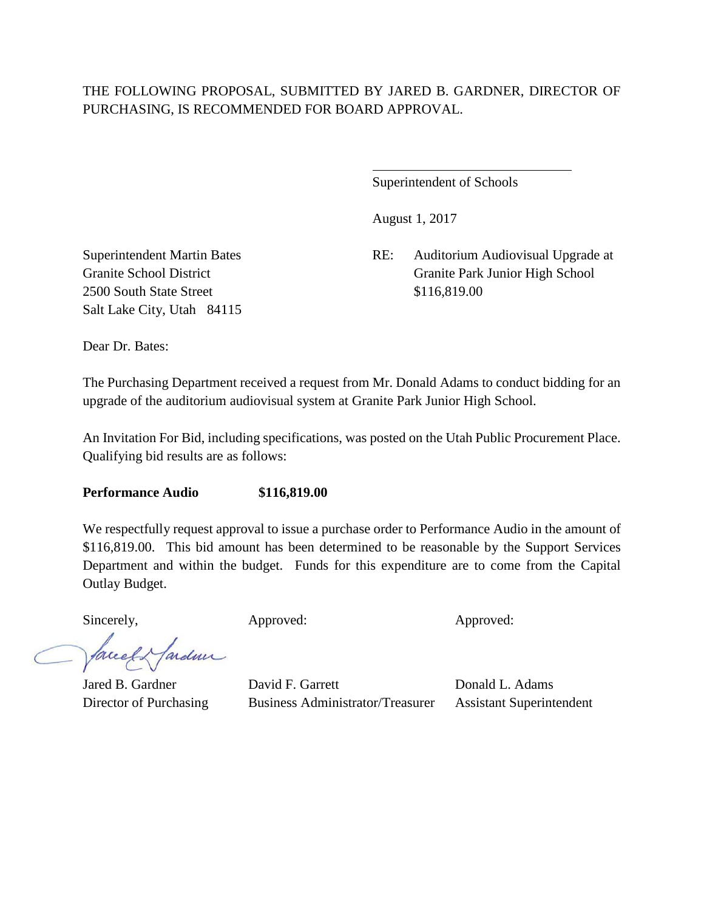## THE FOLLOWING PROPOSAL, SUBMITTED BY JARED B. GARDNER, DIRECTOR OF PURCHASING, IS RECOMMENDED FOR BOARD APPROVAL.

 $\overline{a}$ 

Superintendent of Schools

August 1, 2017

Superintendent Martin Bates RE: Auditorium Audiovisual Upgrade at Granite School District Granite Park Junior High School

2500 South State Street \$116,819.00 Salt Lake City, Utah 84115

Dear Dr. Bates:

The Purchasing Department received a request from Mr. Donald Adams to conduct bidding for an upgrade of the auditorium audiovisual system at Granite Park Junior High School.

An Invitation For Bid, including specifications, was posted on the Utah Public Procurement Place. Qualifying bid results are as follows:

**Performance Audio \$116,819.00**

We respectfully request approval to issue a purchase order to Performance Audio in the amount of \$116,819.00. This bid amount has been determined to be reasonable by the Support Services Department and within the budget. Funds for this expenditure are to come from the Capital Outlay Budget.

Sincerely, Approved: Approved: Approved: Approved:

facely farden

Jared B. Gardner David F. Garrett Donald L. Adams Director of Purchasing Business Administrator/Treasurer Assistant Superintendent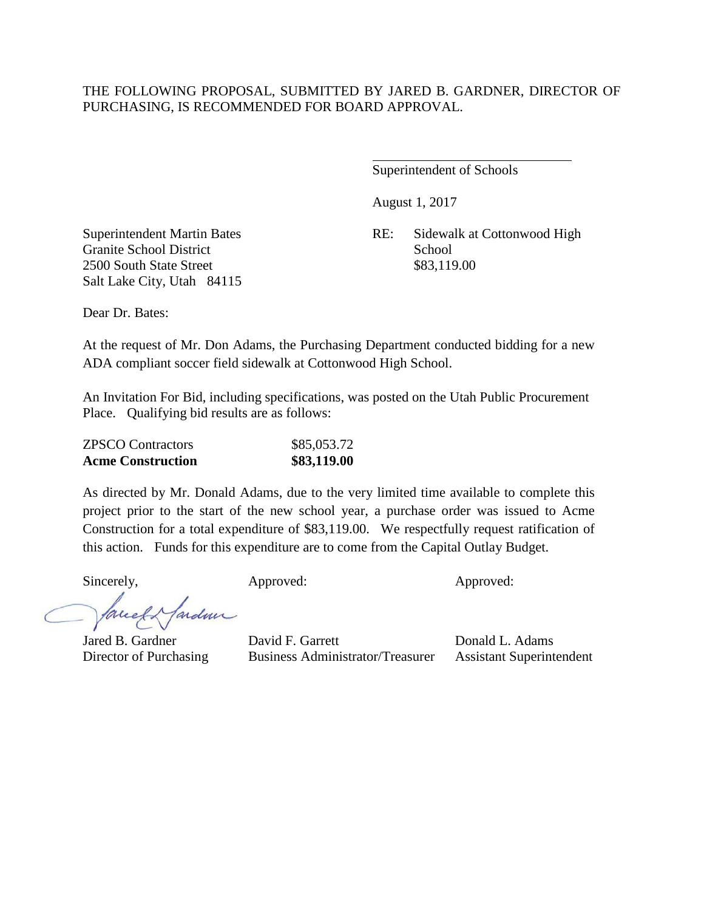## THE FOLLOWING PROPOSAL, SUBMITTED BY JARED B. GARDNER, DIRECTOR OF PURCHASING, IS RECOMMENDED FOR BOARD APPROVAL.

 $\overline{a}$ 

Superintendent of Schools

August 1, 2017

Granite School District School School School School School School School School School School School School School School School School School School School School School School School School School School School School Sc 2500 South State Street \$83,119.00 Salt Lake City, Utah 84115

Superintendent Martin Bates RE: Sidewalk at Cottonwood High

Dear Dr. Bates:

At the request of Mr. Don Adams, the Purchasing Department conducted bidding for a new ADA compliant soccer field sidewalk at Cottonwood High School.

An Invitation For Bid, including specifications, was posted on the Utah Public Procurement Place. Qualifying bid results are as follows:

| <b>ZPSCO</b> Contractors | \$85,053.72 |
|--------------------------|-------------|
| <b>Acme Construction</b> | \$83,119.00 |

As directed by Mr. Donald Adams, due to the very limited time available to complete this project prior to the start of the new school year, a purchase order was issued to Acme Construction for a total expenditure of \$83,119.00. We respectfully request ratification of this action. Funds for this expenditure are to come from the Capital Outlay Budget.

Sincerely, Approved: Approved: Approved: Approved:

ardmi facel

Jared B. Gardner David F. Garrett Donald L. Adams Director of Purchasing Business Administrator/Treasurer Assistant Superintendent